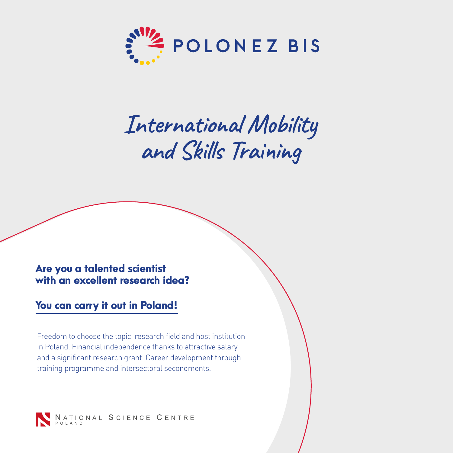

# **International Mobility and Skills Training**

### Are you a talented scientist with an excellent research idea?

## You can carry it out in Poland!

Freedom to choose the topic, research field and host institution in Poland. Financial independence thanks to attractive salary and a significant research grant. Career development through training programme and intersectoral secondments.

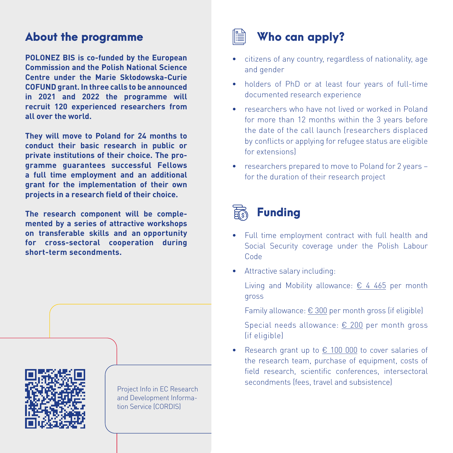# About the programme

**POLONEZ BIS is co-funded by the European Commission and the Polish National Science Centre under the Marie Skłodowska-Curie COFUND grant. In three calls to be announced in 2021 and 2022 the programme will recruit 120 experienced researchers from all over the world.**

**They will move to Poland for 24 months to conduct their basic research in public or private institutions of their choice. The programme guarantees successful Fellows a full time employment and an additional grant for the implementation of their own projects in a research field of their choice.**

**The research component will be complemented by a series of attractive workshops on transferable skills and an opportunity for cross-sectoral cooperation during short-term secondments.** 



Project Info in EC Research and Development Information Service (CORDIS)



#### • citizens of any country, regardless of nationality, age and gender

- holders of PhD or at least four years of full-time documented research experience
- researchers who have not lived or worked in Poland for more than 12 months within the 3 years before the date of the call launch (researchers displaced by conflicts or applying for refugee status are eligible for extensions)
- researchers prepared to move to Poland for 2 years for the duration of their research project



- Full time employment contract with full health and Social Security coverage under the Polish Labour Code
- Attractive salary including:
	- Living and Mobility allowance:  $\epsilon$  4 465 per month gross
	- Family allowance:  $\epsilon$  300 per month gross (if eligible)
	- Special needs allowance: € 200 per month gross (if eligible)
- Research grant up to € 100 000 to cover salaries of the research team, purchase of equipment, costs of field research, scientific conferences, intersectoral secondments (fees, travel and subsistence)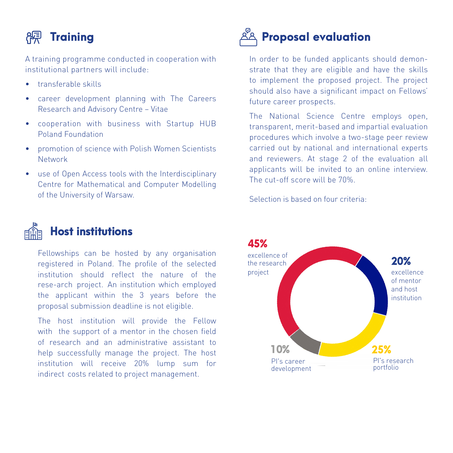# **Reduced** Training

A training programme conducted in cooperation with institutional partners will include:

- transferable skills
- career development planning with The Careers Research and Advisory Centre – Vitae
- cooperation with business with Startup HUB Poland Foundation
- promotion of science with Polish Women Scientists Network
- use of Open Access tools with the Interdisciplinary Centre for Mathematical and Computer Modelling of the University of Warsaw.



# Host institutions

Fellowships can be hosted by any organisation registered in Poland. The profile of the selected institution should reflect the nature of the rese-arch project. An institution which employed the applicant within the 3 years before the proposal submission deadline is not eligible.

The host institution will provide the Fellow with the support of a mentor in the chosen field of research and an administrative assistant to help successfully manage the project. The host institution will receive 20% lump sum for indirect costs related to project management.



In order to be funded applicants should demonstrate that they are eligible and have the skills to implement the proposed project. The project should also have a significant impact on Fellows' future career prospects.

The National Science Centre employs open, transparent, merit-based and impartial evaluation procedures which involve a two-stage peer review carried out by national and international experts and reviewers. At stage 2 of the evaluation all applicants will be invited to an online interview. The cut-off score will be 70%.

Selection is based on four criteria: